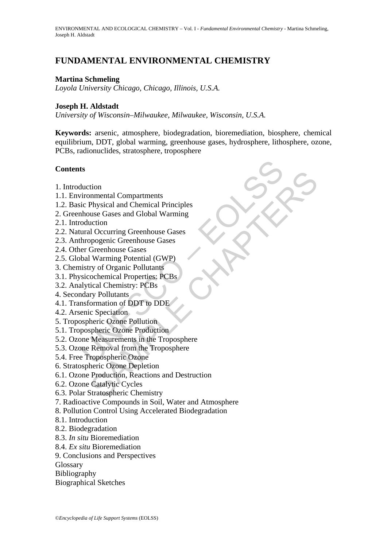# **FUNDAMENTAL ENVIRONMENTAL CHEMISTRY**

### **Martina Schmeling**

*Loyola University Chicago, Chicago, Illinois, U.S.A.*

#### **Joseph H. Aldstadt**

*University of Wisconsin–Milwaukee, Milwaukee, Wisconsin, U.S.A.*

**Keywords:** arsenic, atmosphere, biodegradation, bioremediation, biosphere, chemical equilibrium, DDT, global warming, greenhouse gases, hydrosphere, lithosphere, ozone, PCBs, radionuclides, stratosphere, troposphere

#### **Contents**

- 1. Introduction
- 1.1. Environmental Compartments
- 1.2. Basic Physical and Chemical Principles
- 2. Greenhouse Gases and Global Warming
- 2.1. Introduction
- 2.2. Natural Occurring Greenhouse Gases
- 2.3. Anthropogenic Greenhouse Gases
- 2.4. Other Greenhouse Gases
- 2.5. Global Warming Potential (GWP)
- 3. Chemistry of Organic Pollutants
- 3.1. Physicochemical Properties: PCBs
- 3.2. Analytical Chemistry: PCBs
- 4. Secondary Pollutants
- 4.1. Transformation of DDT to DDE
- 4.2. Arsenic Speciation
- 5. Tropospheric Ozone Pollution
- 5.1. Tropospheric Ozone Production
- ts<br>
ts<br>
duction<br>
vironmental Compartments<br>
ic Physical and Chemical Principles<br>
moluction<br>
moluction<br>
duction<br>
duction<br>
durang Greenhouse Gases<br>
thropogenic Greenhouse Gases<br>
ere Greenhouse Gases<br>
ere Greenhouse Gases<br>
ere 5.2. Ozone Measurements in the Troposphere
- 5.3. Ozone Removal from the Troposphere
- 5.4. Free Tropospheric Ozone
- 6. Stratospheric Ozone Depletion
- tion<br>
nnmental Compartments<br>
Physical and Chemical Principles<br>
suse Gases and Global Warming<br>
uction<br>
10 Occurring Greenhouse Gases<br>
Greenhouse Gases<br>
(Greenhouse Gases<br>
Naraming Potential (GWP)<br>
yr of Organic Pollutints<br> 6.1. Ozone Production, Reactions and Destruction
- 6.2. Ozone Catalytic Cycles
- 6.3. Polar Stratospheric Chemistry
- 7. Radioactive Compounds in Soil, Water and Atmosphere
- 8. Pollution Control Using Accelerated Biodegradation
- 8.1. Introduction
- 8.2. Biodegradation
- 8.3. *In situ* Bioremediation
- 8.4. *Ex situ* Bioremediation
- 9. Conclusions and Perspectives
- Glossary
- Bibliography
- Biographical Sketches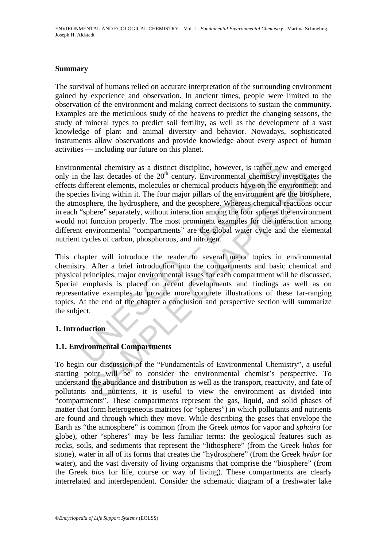#### **Summary**

The survival of humans relied on accurate interpretation of the surrounding environment gained by experience and observation. In ancient times, people were limited to the observation of the environment and making correct decisions to sustain the community. Examples are the meticulous study of the heavens to predict the changing seasons, the study of mineral types to predict soil fertility, as well as the development of a vast knowledge of plant and animal diversity and behavior. Nowadays, sophisticated instruments allow observations and provide knowledge about every aspect of human activities — including our future on this planet.

mental chemistry as a distinct discipline, however, is rather net<br>the last decades of the  $20^{\text{th}}$  century. Environmental chemistry if<br>different elements, molecules or chemical products have on the er-<br>ies living within Figure 11 and the "Fundamentals of Environmental Chemistry", a use the abundance and distribution as well as the raviousnmal and nutrients, it is useful to the the proposition there, the hydrosphere, and the geosphere. Wh Environmental chemistry as a distinct discipline, however, is rather new and emerged only in the last decades of the 20<sup>th</sup> century. Environmental chemistry investigates the effects different elements, molecules or chemical products have on the environment and the species living within it. The four major pillars of the environment are the biosphere, the atmosphere, the hydrosphere, and the geosphere. Whereas chemical reactions occur in each "sphere" separately, without interaction among the four spheres the environment would not function properly. The most prominent examples for the interaction among different environmental "compartments" are the global water cycle and the elemental nutrient cycles of carbon, phosphorous, and nitrogen.

This chapter will introduce the reader to several major topics in environmental chemistry. After a brief introduction into the compartments and basic chemical and physical principles, major environmental issues for each compartment will be discussed. Special emphasis is placed on recent developments and findings as well as on representative examples to provide more concrete illustrations of these far-ranging topics. At the end of the chapter a conclusion and perspective section will summarize the subject.

## **1. Introduction**

## **1.1. Environmental Compartments**

To begin our discussion of the "Fundamentals of Environmental Chemistry", a useful starting point will be to consider the environmental chemist's perspective. To understand the abundance and distribution as well as the transport, reactivity, and fate of pollutants and nutrients, it is useful to view the environment as divided into "compartments". These compartments represent the gas, liquid, and solid phases of matter that form heterogeneous matrices (or "spheres") in which pollutants and nutrients are found and through which they move. While describing the gases that envelope the Earth as "the atmosphere" is common (from the Greek *atmos* for vapor and *sphaira* for globe), other "spheres" may be less familiar terms: the geological features such as rocks, soils, and sediments that represent the "lithosphere" (from the Greek *lithos* for stone), water in all of its forms that creates the "hydrosphere" (from the Greek *hydor* for water), and the vast diversity of living organisms that comprise the "biosphere" (from the Greek *bios* for life, course or way of living). These compartments are clearly interrelated and interdependent. Consider the schematic diagram of a freshwater lake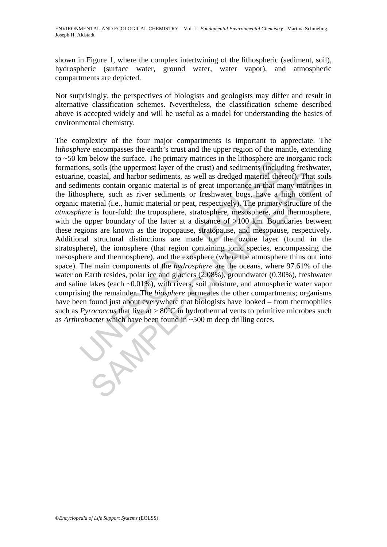shown in Figure 1, where the complex intertwining of the lithospheric (sediment, soil), hydrospheric (surface water, ground water, water vapor), and atmospheric compartments are depicted.

Not surprisingly, the perspectives of biologists and geologists may differ and result in alternative classification schemes. Nevertheless, the classification scheme described above is accepted widely and will be useful as a model for understanding the basics of environmental chemistry.

The brow the same the primary matters in the introsphere are<br>nons, soils (the uppermost layer of the crust) and sediments (include,<br>e, coastal, and harbor sediments, as well as dredged material ther<br>iments contain organic coastal, and harbor sediments, as well as dredged material thereof). That is<br>coastal, and harbor sediments, as well as dredged material thereof). That is<br>there, such as river sediments or freshwater bogs, have a high cont The complexity of the four major compartments is important to appreciate. The *lithosphere* encompasses the earth's crust and the upper region of the mantle, extending to  $\sim$ 50 km below the surface. The primary matrices in the lithosphere are inorganic rock formations, soils (the uppermost layer of the crust) and sediments (including freshwater, estuarine, coastal, and harbor sediments, as well as dredged material thereof). That soils and sediments contain organic material is of great importance in that many matrices in the lithosphere, such as river sediments or freshwater bogs, have a high content of organic material (i.e., humic material or peat, respectively). The primary structure of the *atmosphere* is four-fold: the troposphere, stratosphere, mesosphere, and thermosphere, with the upper boundary of the latter at a distance of >100 km. Boundaries between these regions are known as the tropopause, stratopause, and mesopause, respectively. Additional structural distinctions are made for the ozone layer (found in the stratosphere), the ionosphere (that region containing ionic species, encompassing the mesosphere and thermosphere), and the exosphere (where the atmosphere thins out into space). The main components of the *hydrosphere* are the oceans, where 97.61% of the water on Earth resides, polar ice and glaciers (2.08%), groundwater (0.30%), freshwater and saline lakes (each ~0.01%), with rivers, soil moisture, and atmospheric water vapor comprising the remainder. The *biosphere* permeates the other compartments; organisms have been found just about everywhere that biologists have looked – from thermophiles such as *Pyrococcus* that live at  $> 80^{\circ}$ C in hydrothermal vents to primitive microbes such as *Arthrobacter* which have been found in ~500 m deep drilling cores.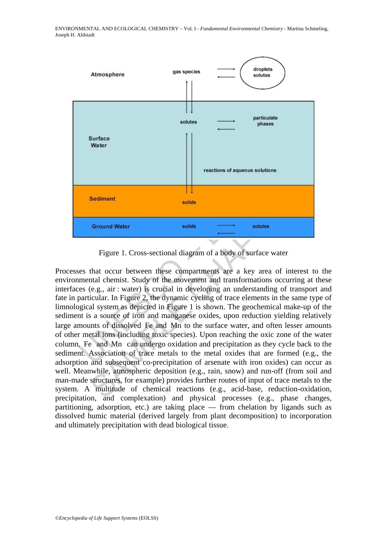

Figure 1. Cross-sectional diagram of a body of surface water

Fractions of aqueous solutions<br>
Sediment<br>
Sediment<br>
Sediment<br>
Sediment<br>
Sediment<br>
Sediment<br>
Sediment<br>
Sediment<br>
Sediment<br>
Sediment<br>
Sediment<br>
Sediment<br>
Sediment<br>
Sediment<br>
Sediment<br>
Sediment<br>
Sediment and transformations o reactions of aqueous soutions<br>
Sediment<br>
Sediment<br>
Sediment<br>
Sediment<br>
Sediment<br>
Sediment<br>
Tigure 1. Cross-sectional diagram of a body of surface water<br>
that occur between these compartments are a key area of interest to<br> Processes that occur between these compartments are a key area of interest to the environmental chemist. Study of the movement and transformations occurring at these interfaces (e.g., air : water) is crucial in developing an understanding of transport and fate in particular. In Figure 2, the dynamic cycling of trace elements in the same type of limnological system as depicted in Figure 1 is shown. The geochemical make-up of the sediment is a source of iron and manganese oxides, upon reduction yielding relatively large amounts of dissolved Fe and Mn to the surface water, and often lesser amounts of other metal ions (including toxic species). Upon reaching the oxic zone of the water column, Fe and Mn can undergo oxidation and precipitation as they cycle back to the sediment. Association of trace metals to the metal oxides that are formed (e.g., the adsorption and subsequent co-precipitation of arsenate with iron oxides) can occur as well. Meanwhile, atmospheric deposition (e.g., rain, snow) and run-off (from soil and man-made structures, for example) provides further routes of input of trace metals to the system. A multitude of chemical reactions (e.g., acid-base, reduction-oxidation, precipitation, and complexation) and physical processes (e.g., phase changes, partitioning, adsorption, etc.) are taking place — from chelation by ligands such as dissolved humic material (derived largely from plant decomposition) to incorporation and ultimately precipitation with dead biological tissue.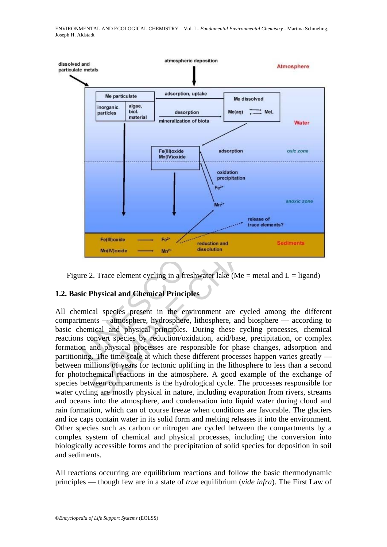

Figure 2. Trace element cycling in a freshwater lake (Me = metal and  $L =$  ligand)

# **1.2. Basic Physical and Chemical Principles**

All chemical species present in the environment are cycled among the different compartments —atmosphere, hydrosphere, lithosphere, and biosphere — according to basic chemical and physical principles. During these cycling processes, chemical reactions convert species by reduction/oxidation, acid/base, precipitation, or complex formation and physical processes are responsible for phase changes, adsorption and partitioning. The time scale at which these different processes happen varies greatly between millions of years for tectonic uplifting in the lithosphere to less than a second for photochemical reactions in the atmosphere. A good example of the exchange of species between compartments is the hydrological cycle. The processes responsible for water cycling are mostly physical in nature, including evaporation from rivers, streams and oceans into the atmosphere, and condensation into liquid water during cloud and rain formation, which can of course freeze when conditions are favorable. The glaciers and ice caps contain water in its solid form and melting releases it into the environment. Other species such as carbon or nitrogen are cycled between the compartments by a complex system of chemical and physical processes, including the conversion into biologically accessible forms and the precipitation of solid species for deposition in soil and sediments.

All reactions occurring are equilibrium reactions and follow the basic thermodynamic principles — though few are in a state of *true* equilibrium (*vide infra*). The First Law of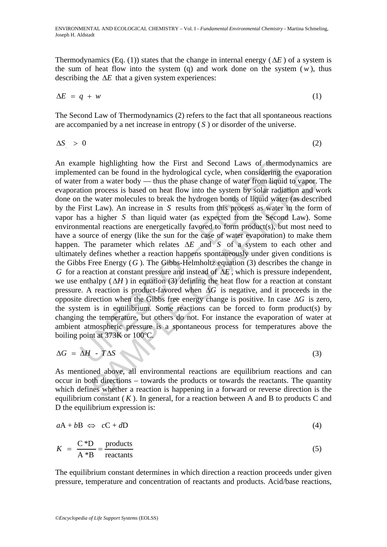Thermodynamics (Eq. (1)) states that the change in internal energy ( $\Delta E$ ) of a system is the sum of heat flow into the system (q) and work done on the system  $(w)$ , thus describing the  $\Delta E$  that a given system experiences:

$$
\Delta E = q + w \tag{1}
$$

The Second Law of Thermodynamics (2) refers to the fact that all spontaneous reactions are accompanied by a net increase in entropy ( *S* ) or disorder of the universe.

$$
\Delta S > 0 \tag{2}
$$

mple highlighting how the First and Second Laws of therm<br>ented can be found in the hydrological cycle, when considering t<br>from a water body — thus the phase change of water from liquition<br>process is based on heat flow int ed can be found in the hydrological cycle, when considering the evapora<br>om a water body — thus the phase change of water from liquid to vapor.<br>In process is based on heat flow into the system by solar radiation and<br>ve wat An example highlighting how the First and Second Laws of thermodynamics are implemented can be found in the hydrological cycle, when considering the evaporation of water from a water body — thus the phase change of water from liquid to vapor. The evaporation process is based on heat flow into the system by solar radiation and work done on the water molecules to break the hydrogen bonds of liquid water (as described by the First Law). An increase in *S* results from this process as water in the form of vapor has a higher *S* than liquid water (as expected from the Second Law). Some environmental reactions are energetically favored to form product(s), but most need to have a source of energy (like the sun for the case of water evaporation) to make them happen. The parameter which relates Δ*E* and *S* of a system to each other and ultimately defines whether a reaction happens spontaneously under given conditions is the Gibbs Free Energy (*G* ). The Gibbs-Helmholtz equation (3) describes the change in *G* for a reaction at constant pressure and instead of Δ*E* , which is pressure independent, we use enthalpy  $(\Delta H)$  in equation (3) defining the heat flow for a reaction at constant pressure. A reaction is product-favored when Δ*G* is negative, and it proceeds in the opposite direction when the Gibbs free energy change is positive. In case Δ*G* is zero, the system is in equilibrium. Some reactions can be forced to form product(s) by changing the temperature, but others do not. For instance the evaporation of water at ambient atmospheric pressure is a spontaneous process for temperatures above the boiling point at 373K or 100ºC.

$$
\Delta G = \Delta H - T \Delta S \tag{3}
$$

As mentioned above, all environmental reactions are equilibrium reactions and can occur in both directions – towards the products or towards the reactants. The quantity which defines whether a reaction is happening in a forward or reverse direction is the equilibrium constant  $(K)$ . In general, for a reaction between A and B to products C and D the equilibrium expression is:

$$
aA + bB \iff cC + dD \tag{4}
$$

$$
K = \frac{C*D}{A*B} = \frac{\text{products}}{\text{reactants}} \tag{5}
$$

The equilibrium constant determines in which direction a reaction proceeds under given pressure, temperature and concentration of reactants and products. Acid/base reactions,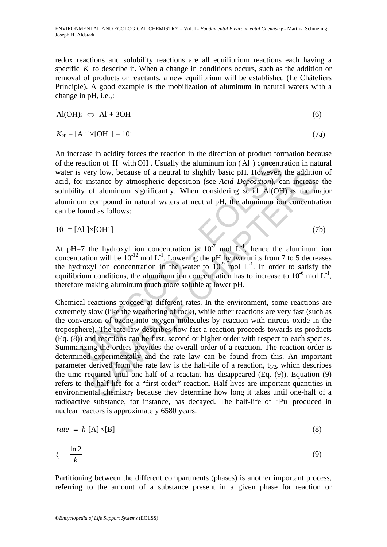redox reactions and solubility reactions are all equilibrium reactions each having a specific *K* to describe it. When a change in conditions occurs, such as the addition or removal of products or reactants, a new equilibrium will be established (Le Châteliers Principle). A good example is the mobilization of aluminum in natural waters with a change in pH, i.e.,:

$$
\text{Al}(\text{OH})_3 \iff \text{Al} + 3\text{OH}^{\cdot} \tag{6}
$$

$$
K_{\rm sp} = [\text{Al }]\times[\text{OH }] = 10\tag{7a}
$$

An increase in acidity forces the reaction in the direction of product formation because of the reaction of H with OH. Usually the aluminum ion (Al) concentration in natural water is very low, because of a neutral to slightly basic pH. However, the addition of acid, for instance by atmospheric deposition (see *Acid Deposition*), can increase the solubility of aluminum significantly. When considering solid Al(OH) as the major aluminum compound in natural waters at neutral pH, the aluminum ion concentration can be found as follows:

$$
10 = [Al] \times [OH^{\dagger}] \tag{7b}
$$

At pH=7 the hydroxyl ion concentration is  $10^{-7}$  mol L<sup>-1</sup>, hence the aluminum ion concentration will be  $10^{-12}$  mol L<sup>-1</sup>. Lowering the pH by two units from 7 to 5 decreases the hydroxyl ion concentration in the water to  $10^{-9}$  mol L<sup>-1</sup>. In order to satisfy the equilibrium conditions, the aluminum ion concentration has to increase to  $10^{-6}$  mol L<sup>-1</sup>, therefore making aluminum much more soluble at lower pH.

eaction of H with OH. Usually the aluminum ion (Al) concentr<br>very low, because of a neutral to slightly basic pH. However,<br>r instance by atmospheric deposition (see Acid Deposition), ca<br>ty of aluminum significantly. When bow, because of a neutral to slightly basic pH. However, the additionstance by atmospheric deposition (see *Acid Deposition*), can increases of aluminum significantly. When considering solid  $\lambda$ l(OH) as the m compound in Chemical reactions proceed at different rates. In the environment, some reactions are extremely slow (like the weathering of rock), while other reactions are very fast (such as the conversion of ozone into oxygen molecules by reaction with nitrous oxide in the troposphere). The rate law describes how fast a reaction proceeds towards its products (Eq. (8)) and reactions can be first, second or higher order with respect to each species. Summarizing the orders provides the overall order of a reaction. The reaction order is determined experimentally and the rate law can be found from this. An important parameter derived from the rate law is the half-life of a reaction,  $t_{1/2}$ , which describes the time required until one-half of a reactant has disappeared (Eq. (9)). Equation (9) refers to the half-life for a "first order" reaction. Half-lives are important quantities in environmental chemistry because they determine how long it takes until one-half of a radioactive substance, for instance, has decayed. The half-life of Pu produced in nuclear reactors is approximately 6580 years.

$$
rate = k [A] \times [B]
$$
 (8)

$$
t_{\perp} = \frac{\ln 2}{k} \tag{9}
$$

Partitioning between the different compartments (phases) is another important process, referring to the amount of a substance present in a given phase for reaction or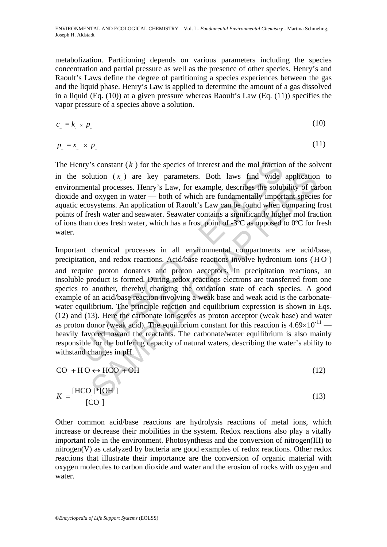metabolization. Partitioning depends on various parameters including the species concentration and partial pressure as well as the presence of other species. Henry's and Raoult's Laws define the degree of partitioning a species experiences between the gas and the liquid phase. Henry's Law is applied to determine the amount of a gas dissolved in a liquid (Eq. (10)) at a given pressure whereas Raoult's Law (Eq. (11)) specifies the vapor pressure of a species above a solution.

$$
c_{\alpha} = k_{\alpha} \times p_{\alpha} \tag{10}
$$

$$
p_z = x \times p_z \tag{11}
$$

The Henry's constant  $(k)$  for the species of interest and the mol fraction of the solvent in the solution  $(x)$  are key parameters. Both laws find wide application to environmental processes. Henry's Law, for example, describes the solubility of carbon dioxide and oxygen in water — both of which are fundamentally important species for aquatic ecosystems. An application of Raoult's Law can be found when comparing frost points of fresh water and seawater. Seawater contains a significantly higher mol fraction of ions than does fresh water, which has a frost point of -3ºC as opposed to 0ºC for fresh water.

mry's constant ( $k$ ) for the species of interest and the mol fraction<br>solution ( $x$ ) are key parameters. Both laws find wide<br>mental processes. Henry's Law, for example, describes the solut<br>and oxygen in water — both of wh lution (*x*) are key parameters. Both laws find wide application<br>tatal processes. Henry's Law, for example, describes the solubility of cat<br>oxygen in water — both of which are fundamentally important species<br>eystems. An a Important chemical processes in all environmental compartments are acid/base, precipitation, and redox reactions. Acid/base reactions involve hydronium ions (HO) and require proton donators and proton acceptors. In precipitation reactions, an insoluble product is formed. During redox reactions electrons are transferred from one species to another, thereby changing the oxidation state of each species. A good example of an acid/base reaction involving a weak base and weak acid is the carbonatewater equilibrium. The principle reaction and equilibrium expression is shown in Eqs. (12) and (13). Here the carbonate ion serves as proton acceptor (weak base) and water as proton donor (weak acid). The equilibrium constant for this reaction is  $4.69 \times 10^{-11}$  heavily favored toward the reactants. The carbonate/water equilibrium is also mainly responsible for the buffering capacity of natural waters, describing the water's ability to withstand changes in pH.

$$
CO + HO \leftrightarrow HCO + OH \tag{12}
$$

$$
K = \frac{\text{[HCO ]*[OH]}}{\text{[CO]}}
$$
\n
$$
(13)
$$

Other common acid/base reactions are hydrolysis reactions of metal ions, which increase or decrease their mobilities in the system. Redox reactions also play a vitally important role in the environment. Photosynthesis and the conversion of nitrogen(III) to nitrogen(V) as catalyzed by bacteria are good examples of redox reactions. Other redox reactions that illustrate their importance are the conversion of organic material with oxygen molecules to carbon dioxide and water and the erosion of rocks with oxygen and water.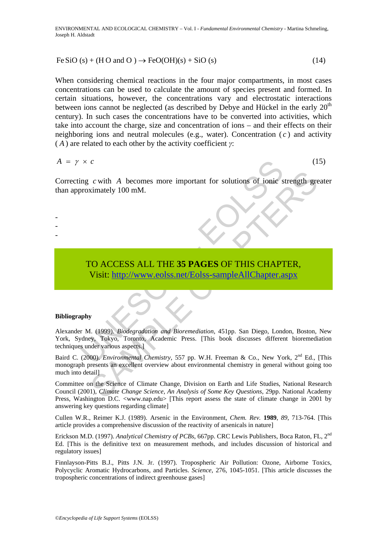$$
Fe SiO(s) + (HO and O) \rightarrow FeO(OH)(s) + SiO(s)
$$
\n(14)

2 4 2 2 2

When considering chemical reactions in the four major compartments, in most cases concentrations can be used to calculate the amount of species present and formed. In certain situations, however, the concentrations vary and electrostatic interactions between ions cannot be neglected (as described by Debye and Hückel in the early  $20<sup>th</sup>$ century). In such cases the concentrations have to be converted into activities, which take into account the charge, size and concentration of ions – and their effects on their neighboring ions and neutral molecules (e.g., water). Concentration  $(c)$  and activity ( *A* ) are related to each other by the activity coefficient *γ*:

$$
A = \gamma \times c \tag{15}
$$

- - -

Correcting *c* with *A* becomes more important for solutions of ionic strength greater than approximately 100 mM.

# TO ACCESS ALL THE **35 PAGES** OF THIS CHAPTER, Visit: http://www.eolss.net/Eolss-sampleAllChapter.aspx

#### **Bibliography**

× C<br>
ing c with A becomes more important for solutions of ionie's<br>
proximately 100 mM.<br>
TO ACCESS ALL THE 35 PAGES OF THIS CHAPT<br>
Visit: http://www.colss.net/Eolss-sampleAllChapter.a<br>
phy<br>
phy<br>
r M. (1999). *Biodegradation* Alexander M. (1999). *Biodegradation and Bioremediation*, 451pp. San Diego, London, Boston, New York, Sydney, Tokyo, Toronto, Academic Press. [This book discusses different bioremediation techniques under various aspects.]

c with A becomes more important for solutions of ionic strength gre<br>
simately 100 mM.<br>
Sample [CHA](https://www.eolss.net/ebooklib/sc_cart.aspx?File=E6-13-01-00)PTER,<br>
SAMPLE CHAPTER,<br>
SAMPLE CHAPTER,<br>
SAMPLE CHAPTER,<br>
SAMPLE CHAPTER,<br>
SAMPLE CHAPTER,<br>
SAMPLE CHAPTER,<br>
SAMPLE CHAPTER, Baird C. (2000). *Environmental Chemistry*, 557 pp. W.H. Freeman & Co., New York, 2<sup>nd</sup> Ed., [This monograph presents an excellent overview about environmental chemistry in general without going too much into detail]

Committee on the Science of Climate Change, Division on Earth and Life Studies, National Research Council (2001), *Climate Change Science, An Analysis of Some Key Questions*, 29pp. National Academy Press, Washington D.C. <www.nap.edu> [This report assess the state of climate change in 2001 by answering key questions regarding climate]

Cullen W.R., Reimer K.J. (1989). Arsenic in the Environment, *Chem. Rev.* **1989**, *89*, 713-764. [This article provides a comprehensive discussion of the reactivity of arsenicals in nature]

Erickson M.D. (1997). *Analytical Chemistry of PCBs*, 667pp. CRC Lewis Publishers, Boca Raton, FL, 2nd Ed. [This is the definitive text on measurement methods, and includes discussion of historical and regulatory issues]

Finnlayson-Pitts B.J., Pitts J.N. Jr. (1997). Tropospheric Air Pollution: Ozone, Airborne Toxics, Polycyclic Aromatic Hydrocarbons, and Particles. *Science*, 276, 1045-1051. [This article discusses the tropospheric concentrations of indirect greenhouse gases]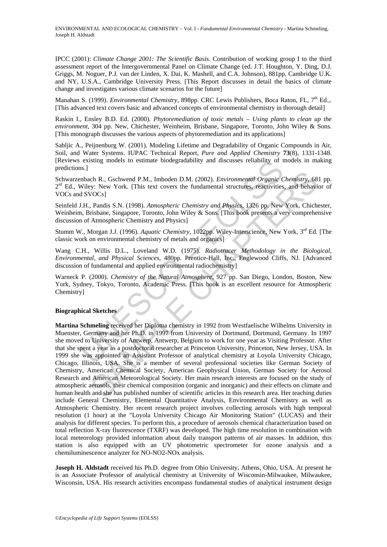IPCC (2001): *Climate Change 2001: The Scientific Basis.* Contribution of working group I to the third assessment report of the Intergovernmental Panel on Climate Change (ed. J.T. Houghton, Y. Ding, D.J. Griggs, M. Noguer, P.J. van der Linden, X. Dai, K. Mashell, and C.A. Johnson), 881pp, Cambridge U.K. and NY, U.S.A., Cambridge University Press. [This Report discusses in detail the basics of climate change and investigates various climate scenarios for the future]

Manahan S. (1999). *Environmental Chemistry*, 898pp. CRC Lewis Publishers, Boca Raton, FL, 7<sup>th</sup> Ed.,. [This advanced text covers basic and advanced concepts of environmental chemistry in thorough detail]

Raskin I., Ensley B.D. Ed. (2000). *Phytoremediation of toxic metals – Using plants to clean up the environment*, 304 pp. New, Chichester, Weinheim, Brisbane, Singapore, Toronto, John Wiley & Sons. [This monograph discusses the various aspects of phytoremediation and its applications]

Sabljic A., Peijnenburg W. (2001). Modeling Lifetime and Degradability of Organic Compounds in Air, Soil, and Water Systems. IUPAC Technical Report, *Pure and Applied Chemistry* **73**(8), 1331-1348. [Reviews existing models to estimate biodegradability and discusses reliability of models in making predictions.]

Schwarzenbach R., Gschwend P.M., Imboden D.M. (2002). *Environmental Organic Chemistry*, 681 pp. 2<sup>rd</sup> Ed., Wiley: New York. [This text covers the fundamental structures, reactivities, and behavior of VOCs and SVOCs]

Seinfeld J.H., Pandis S.N. (1998). *Atmospheric Chemistry and Physics*, 1326 pp. New York, Chichester, Weinheim, Brisbane, Singapore, Toronto, John Wiley & Sons. [This book presents a very comprehensive discussion of Atmospheric Chemistry and Physics]

Stumm W., Morgan J.J. (1996). *Aquatic Chemistry*, 1022pp. Wiley-Interscience, New York, 3rd Ed. [The classic work on environmental chemistry of metals and organics]

Wang C.H., Willis D.L., Loveland W.D. (1975). *Radiotracer Methodology in the Biological, Environmental, and Physical Sciences*, 480pp. Prentice-Hall, Inc., Englewood Cliffs, NJ. [Advanced discussion of fundamental and applied environmental radiochemistry]

Warneck P. (2000). *Chemistry of the Natural Atmosphere*, 927 pp. San Diego, London, Boston, New York, Sydney, Tokyo, Toronto, Academic Press. [This book is an excellent resource for Atmospheric Chemistry]

#### **Biographical Sketches**

existing models to estimate biodegradability and discusses reliability of r<br>
ISS.]<br>
SIS.]<br>
SIS.]<br>
Microschemental P.M., Imboden D.M. (2002). *Environmental Organie CWiley:* New York. [This text covers the fundamental struc ch R., Geschwend P.M., Imboden D.M. (2002). *Environmental Organic Chemistry*, 68<br>
y. New York. [This text covers the fundamental structures, reactivities, and behavity. Pandis S.N. (1998). *Atmospheric Chemistry and Physi* **Martina Schmeling** received her Diploma chemistry in 1992 from Westfaelische Wilhelms University in Muenster, Germany and her Ph.D. in 1997 from University of Dortmund, Dortmund, Germany. In 1997 she moved to University of Antwerp, Antwerp, Belgium to work for one year as Visiting Professor. After that she spent a year as a postdoctoral researcher at Princeton University, Princeton, New Jersey, USA. In 1999 she was appointed an Assistant Professor of analytical chemistry at Loyola University Chicago, Chicago, Illinois, USA. She is a member of several professional societies like German Society of Chemistry, American Chemical Society, American Geophysical Union, German Society for Aerosol Research and American Meteorological Society. Her main research interests are focused on the study of atmospheric aerosols, their chemical composition (organic and inorganic) and their effects on climate and human health and she has published number of scientific articles in this research area. Her teaching duties include General Chemistry, Elemental Quantitative Analysis, Environmental Chemistry as well as Atmospheric Chemistry. Her recent research project involves collecting aerosols with high temporal resolution (1 hour) at the "Loyola University Chicago Air Monitoring Station" (LUCAS) and their analysis for different species. To perform this, a procedure of aerosols chemical characterization based on total reflection X-ray fluorescence (TXRF) was developed. The high time resolution in combination with local meteorology provided information about daily transport patterns of air masses. In addition, this station is also equipped with an UV photometric spectrometer for ozone analysis and a chemiluminescence analyzer for NO-NO2-NOx analysis.

**Joseph H. Aldstadt** received his Ph.D. degree from Ohio University, Athens, Ohio, USA. At present he is an Associate Professor of analytical chemistry at University of Wisconsin-Milwaukee, Milwaukee, Wisconsin, USA. His research activities encompass fundamental studies of analytical instrument design